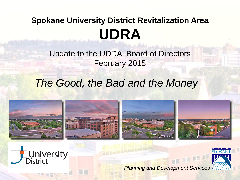#### **Spokane University District Revitalization Area UDRA**

Update to the UDDA Board of Directors February 2015

#### *The Good, the Bad and the Money*





*Planning and Development Services*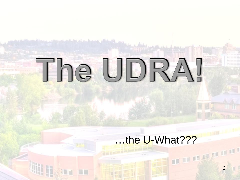## The UDRA!

# …the U-What???<br>————————————————————

2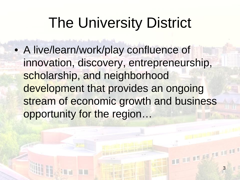## The University District

• A live/learn/work/play confluence of innovation, discovery, entrepreneurship, scholarship, and neighborhood development that provides an ongoing stream of economic growth and business opportunity for the region…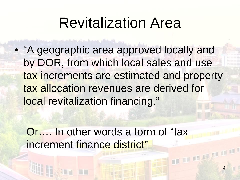#### Revitalization Area

• "A geographic area approved locally and by DOR, from which local sales and use tax increments are estimated and property tax allocation revenues are derived for local revitalization financing."

Or…. In other words a form of "tax increment finance district" management

4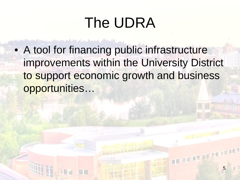## The UDRA

• A tool for financing public infrastructure improvements within the University District to support economic growth and business opportunities…

5

management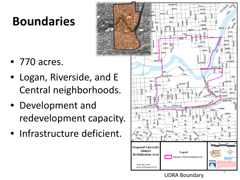#### **Boundaries**

- 770 acres.
- Logan, Riverside, and E Central neighborhoods.
- Development and redevelopment capacity.
- Infrastructure deficient.



UDRA Boundary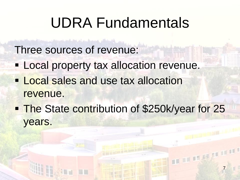#### UDRA Fundamentals

Three sources of revenue:

- **Local property tax allocation revenue.**
- **Local sales and use tax allocation** revenue.
- **The State contribution of \$250k/year for 25** years.

7

management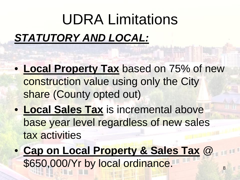## *STATUTORY AND LOCAL:* UDRA Limitations

- **Local Property Tax** based on 75% of new construction value using only the City share (County opted out)
- **Local Sales Tax** is incremental above base year level regardless of new sales tax activities
- **Cap on Local Property & Sales Tax** @ \$650,000/Yr by local ordinance.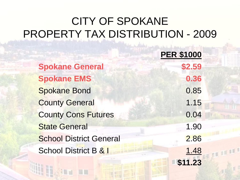#### CITY OF SPOKANE PROPERTY TAX DISTRIBUTION - 2009

**PER \$1000 Spokane General \$2.59 Spokane EMS 0.36** Spokane Bond 0.85 **County General 1.15** County Cons Futures 6.04 State General 1.90 School District General 2.86 School District B & I 1.48

**\$11.23**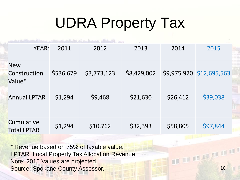## UDRA Property Tax

| YEAR:                                | 2011      | 2012        | 2013        | 2014     | 2015                     |  |
|--------------------------------------|-----------|-------------|-------------|----------|--------------------------|--|
|                                      |           |             |             |          |                          |  |
| <b>New</b><br>Construction<br>Value* | \$536,679 | \$3,773,123 | \$8,429,002 |          | \$9,975,920 \$12,695,563 |  |
| <b>Annual LPTAR</b>                  | \$1,294   | \$9,468     | \$21,630    | \$26,412 | \$39,038                 |  |
|                                      |           |             |             |          |                          |  |
| Cumulative<br><b>Total LPTAR</b>     | \$1,294   | \$10,762    | \$32,393    | \$58,805 | \$97,844                 |  |

10

management

\* Revenue based on 75% of taxable value. LPTAR: Local Property Tax Allocation Revenue Note: 2015 Values are projected. Source: Spokane County Assessor.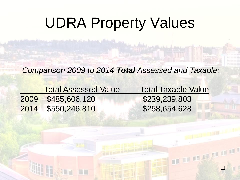#### UDRA Property Values

*Comparison 2009 to 2014 Total Assessed and Taxable:*

| <b>Total Assessed Value</b> | <b>Total Taxable Value</b> |
|-----------------------------|----------------------------|
| 2009 \$485,606,120          | \$239,239,803              |
| 2014 \$550,246,810          | \$258,654,628              |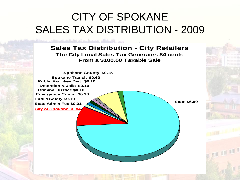#### CITY OF SPOKANE SALES TAX DISTRIBUTION - 2009

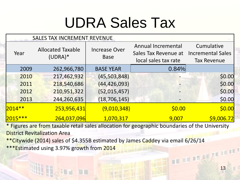## UDRA Sales Tax

| <b>SALES TAX INCREMENT REVENUE</b> |                                       |                                     |                                                                    |                                                              |  |
|------------------------------------|---------------------------------------|-------------------------------------|--------------------------------------------------------------------|--------------------------------------------------------------|--|
| Year                               | <b>Allocated Taxable</b><br>$(UDRA)*$ | <b>Increase Over</b><br><b>Base</b> | Annual Incremental<br>Sales Tax Revenue at<br>local sales tax rate | Cumulative<br><b>Incremental Sales</b><br><b>Tax Revenue</b> |  |
| 2009                               | 262,966,780                           | <b>BASE YEAR</b>                    | 0.84%                                                              |                                                              |  |
| 2010                               | 217,462,932                           | (45, 503, 848)                      |                                                                    | \$0.00                                                       |  |
| 2011                               | 218,540,686                           | (44, 426, 093)                      |                                                                    | \$0.00                                                       |  |
| 2012                               | 210,951,322                           | (52, 015, 457)                      |                                                                    | \$0.00                                                       |  |
| 2013                               | 244,260,635                           | (18, 706, 145)                      |                                                                    | \$0.00                                                       |  |
| $2014**$                           | 253,956,431                           | (9,010,348)                         | \$0.00                                                             | \$0.00                                                       |  |
| $ 2015*** $                        | 264,037,096                           | 1,070,317                           | 9,007                                                              | \$9,006.72                                                   |  |

\* Figures are from taxable retail sales allocation for geographic boundaries of the University District Revitalization Area

\*\*Citywide (2014) sales of \$4.355B estimated by James Caddey via email 6/26/14

\*\*\*Estimated using 3.97% growth from 2014